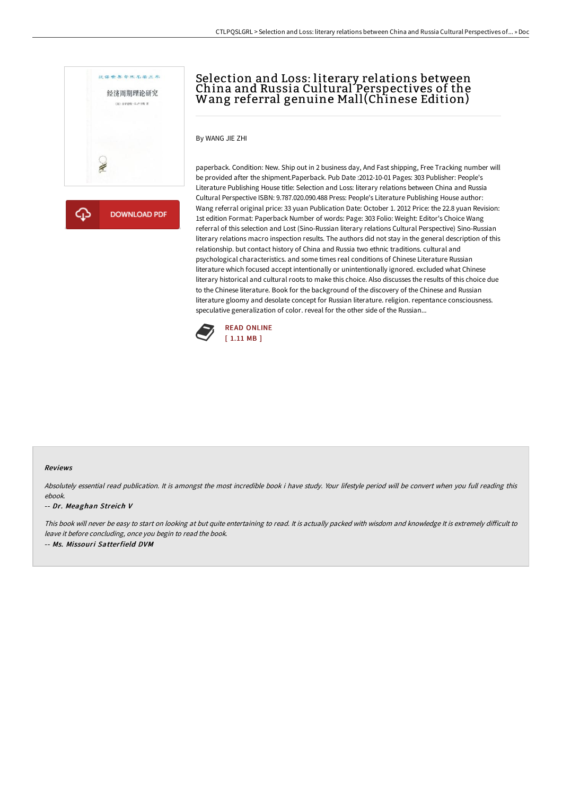

**DOWNLOAD PDF** क़

# Selection and Loss: literary relations between China and Russia Cultural Perspectives of the Wang referral genuine Mall(Chinese Edition)

By WANG JIE ZHI

paperback. Condition: New. Ship out in 2 business day, And Fast shipping, Free Tracking number will be provided after the shipment.Paperback. Pub Date :2012-10-01 Pages: 303 Publisher: People's Literature Publishing House title: Selection and Loss: literary relations between China and Russia Cultural Perspective ISBN: 9.787.020.090.488 Press: People's Literature Publishing House author: Wang referral original price: 33 yuan Publication Date: October 1. 2012 Price: the 22.8 yuan Revision: 1st edition Format: Paperback Number of words: Page: 303 Folio: Weight: Editor's Choice Wang referral of this selection and Lost (Sino-Russian literary relations Cultural Perspective) Sino-Russian literary relations macro inspection results. The authors did not stay in the general description of this relationship. but contact history of China and Russia two ethnic traditions. cultural and psychological characteristics. and some times real conditions of Chinese Literature Russian literature which focused accept intentionally or unintentionally ignored. excluded what Chinese literary historical and cultural roots to make this choice. Also discusses the results of this choice due to the Chinese literature. Book for the background of the discovery of the Chinese and Russian literature gloomy and desolate concept for Russian literature. religion. repentance consciousness. speculative generalization of color. reveal for the other side of the Russian...



#### Reviews

Absolutely essential read publication. It is amongst the most incredible book i have study. Your lifestyle period will be convert when you full reading this ebook.

#### -- Dr. Meaghan Streich V

This book will never be easy to start on looking at but quite entertaining to read. It is actually packed with wisdom and knowledge It is extremely difficult to leave it before concluding, once you begin to read the book. -- Ms. Missouri Satterfield DVM